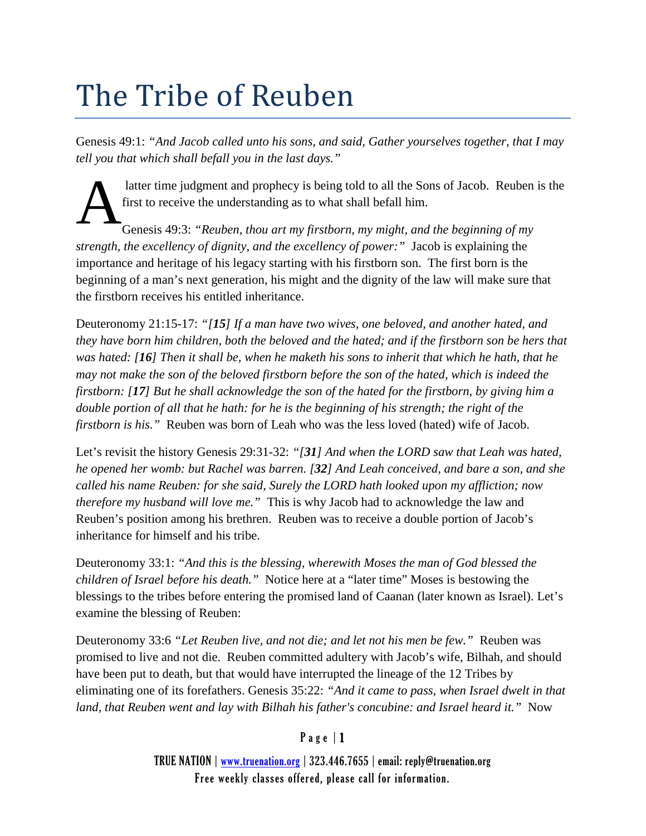## The Tribe of Reuben

Genesis 49:1: *"And Jacob called unto his sons, and said, Gather yourselves together, that I may tell you that which shall befall you in the last days."*

latter time judgment and prophecy is being told to all the Sons of Jacob. Reuben is the first to receive the understanding as to what shall befall him.

Genesis 49:3: *"Reuben, thou art my firstborn, my might, and the beginning of my strength, the excellency of dignity, and the excellency of power:"* Jacob is explaining the importance and heritage of his legacy starting with his firstborn son. The first born is the beginning of a man's next generation, his might and the dignity of the law will make sure that the firstborn receives his entitled inheritance. A

Deuteronomy 21:15-17: *"[15] If a man have two wives, one beloved, and another hated, and they have born him children, both the beloved and the hated; and if the firstborn son be hers that was hated: [16] Then it shall be, when he maketh his sons to inherit that which he hath, that he may not make the son of the beloved firstborn before the son of the hated, which is indeed the firstborn: [17] But he shall acknowledge the son of the hated for the firstborn, by giving him a double portion of all that he hath: for he is the beginning of his strength; the right of the firstborn is his."* Reuben was born of Leah who was the less loved (hated) wife of Jacob.

Let's revisit the history Genesis 29:31-32: *"[31] And when the LORD saw that Leah was hated, he opened her womb: but Rachel was barren. [32] And Leah conceived, and bare a son, and she called his name Reuben: for she said, Surely the LORD hath looked upon my affliction; now therefore my husband will love me."* This is why Jacob had to acknowledge the law and Reuben's position among his brethren. Reuben was to receive a double portion of Jacob's inheritance for himself and his tribe.

Deuteronomy 33:1: *"And this is the blessing, wherewith Moses the man of God blessed the children of Israel before his death."* Notice here at a "later time" Moses is bestowing the blessings to the tribes before entering the promised land of Caanan (later known as Israel). Let's examine the blessing of Reuben:

Deuteronomy 33:6 *"Let Reuben live, and not die; and let not his men be few."* Reuben was promised to live and not die. Reuben committed adultery with Jacob's wife, Bilhah, and should have been put to death, but that would have interrupted the lineage of the 12 Tribes by eliminating one of its forefathers. Genesis 35:22: *"And it came to pass, when Israel dwelt in that land, that Reuben went and lay with Bilhah his father's concubine: and Israel heard it."* Now

## Page | 1

TRUE NATION | [www.truenation.org](http://www.truenation.org/) | 323.446.7655 | email: reply@truenation.org Free weekly classes offered, please call for information.